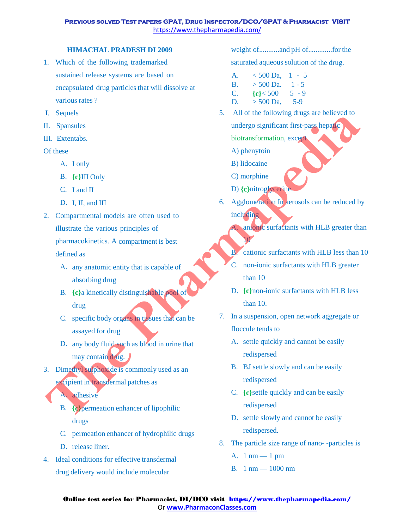#### **HIMACHAL PRADESH DI 2009**

- 1. Which of the following trademarked sustained release systems are based on encapsulated drug particles that will dissolve at various rates ?
- I. Sequels
- II. Spansules
- III. Extentabs.

# Of these

- A. I only
- B. **{c}**III Only
- C. I and II
- D. I. II, and III
- 2. Compartmental models are often used to illustrate the various principles of pharmacokinetics. A compartment is best defined as **The Sequential Control of the Control of the Control of the Control of the Control of the Control of the Control of the Control of the Control of the Control of the Control of the Control of the Control of the Control of** 
	- A. any anatomic entity that is capable of absorbing drug
	- B. **{c}**a kinetically distinguishable pool of drug
	- C. specific body organs in tissues that can be assayed for drug
	- D. any body fluid such as blood in urine that may contain drug.
- 3. Dimethyl sulphoxide is commonly used as an excipient in transdermal patches as
	- A. adhesive
	- B. **{c}**permeation enhancer of lipophilic drugs
	- C. permeation enhancer of hydrophilic drugs
	- D. release liner.
- 4. Ideal conditions for effective transdermal drug delivery would include molecular

weight of...........and pH of.............for the

saturated aqueous solution of the drug.

| А.        | $< 500$ Da. | $-5$<br>$\mathbf{1}$ |
|-----------|-------------|----------------------|
| <b>B.</b> | $>$ 500 Da. | $1 - 5$              |
| C.        | ${c}$ < 500 | $5 - 9$              |
| D.        | $>$ 500 Da. | $5-9$                |

- 5. All of the following drugs are believed to
	- undergo significant first-pass hepatic biotransformation, except
	- A) phenytoin
	- B) lidocaine
	- C) morphine

10

- D) **{c}**nitroglycerine.
- 6. Agglomeration In aerosols can be reduced by including

anionic surfactants with HLB greater than

- B. cationic surfactants with HLB less than 10
- C. non-ionic surfactants with HLB greater than 10
- D. **{c}**non-ionic surfactants with HLB less than 10.
- 7. In a suspension, open network aggregate or floccule tends to
	- A. settle quickly and cannot be easily redispersed
	- B. BJ settle slowly and can be easily redispersed
	- C. **{c}**settle quickly and can be easily redispersed
	- D. settle slowly and cannot be easily redispersed.
- 8. The particle size range of nano- -particles is
	- A. 1 nm 1 pm
	- B. 1 nm 1000 nm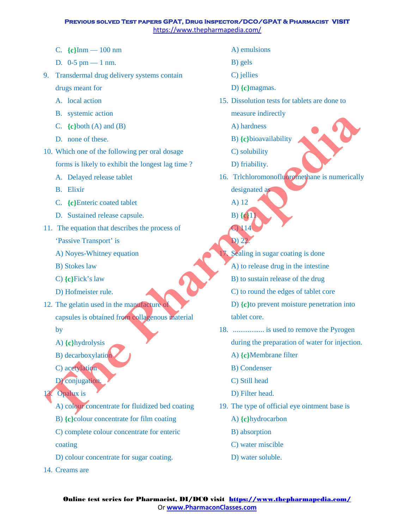- C. **{c}**Inm 100 nm
- D. 0-5 pm 1 nm.
- 9. Transdermal drug delivery systems contain
	- drugs meant for
	- A. local action
	- B. systemic action
	- C. **{c}**both (A) and (B)
	- D. none of these.
- 10. Which one of the following per oral dosage

forms is likely to exhibit the longest lag time ?

- A. Delayed release tablet
- B. Elixir
- C. **{c}**Enteric coated tablet
- D. Sustained release capsule.
- 11. The equation that describes the process of
	- 'Passive Transport' is
	- A) Noyes-Whitney equation
	- B) Stokes law
	- C) **{c}**Fick's law
	- D) Hofmeister rule.
- 12. The gelatin used in the manufacture of capsules is obtained from collagenous material **The System and The Pharmapedia**<br> **The Pharmapsis III** (C) to the following per oral dosage<br>
(C) the Alberto content dosage<br>
The Pharmapsis III (C) solubling<br> **The Pharmapsis III** (C) solubling<br> **The Pharmapsis III** (C) t
	- by
	- A) **{c}**hydrolysis
	- B) decarboxylation
	- C) acetylation
	- D) conjugation
- **Opalux** is
	- A) colour concentrate for fluidized bed coating
	- B) **{c}**colour concentrate for film coating
	- C) complete colour concentrate for enteric coating
	- D) colour concentrate for sugar coating.
- 14. Creams are
- A) emulsions
- B) gels
- C) jellies
- D) **{c}**magmas.
- 15. Dissolution tests for tablets are done to
	- measure indirectly
	- A) hardness
	- B) **{c}**bioavailability
	- C) solubility
	- D) friability.
- 16. Trlchloromonofluoromethane is numerically designated as
	- A) 12 B) **{c}**11

C) 114 D) 22.

- Sealing in sugar coating is done
- A) to release drug in the intestine
- B) to sustain release of the drug
- C) to round the edges of tablet core
- D) **{c}**to prevent moisture penetration into tablet core.
- 18. ................. is used to remove the Pyrogen during the preparation of water for injection.
	- A) **{c}**Membrane filter
	- B) Condenser
	- C) Still head
	- D) Filter head.
- 19. The type of official eye ointment base is
	- A) **{c}**hydrocarbon
	- B) absorption
	- C) water miscible
	- D) water soluble.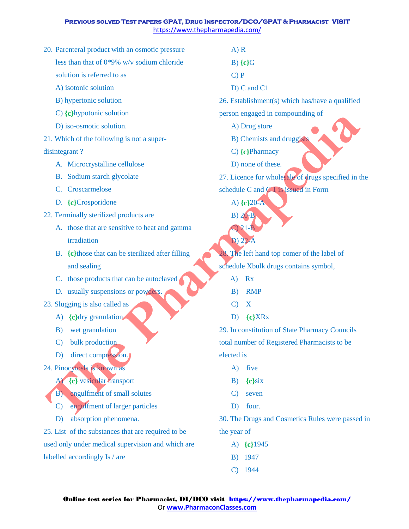- 20. Parenteral product with an osmotic pressure less than that of 0\*9% w/v sodium chloride
	- solution is referred to as
	- A) isotonic solution
	- B) hypertonic solution
	- C) **{c}**hypotonic solution
	- D) iso-osmotic solution.
- 21. Which of the following is not a super-

# disintegrant ?

- A. Microcrystalline cellulose
- B. Sodium starch glycolate
- C. Croscarmelose
- D. **{c}**Crosporidone
- 22. Terminally sterilized products are
	- A. those that are sensitive to heat and gamma irradiation
	- B. **{c}**those that can be sterilized after filling and sealing
	- C. those products that can be autoclaved
	- D. usually suspensions or powders.
- 23. Slugging is also called as
	- A) **{c}**dry granulation
	- B) wet granulation
	- C) bulk production
	- D) direct compression.

# 24. Pinocytosls is known as

- A) **{c}** vesicular transport
- B) engulfment of small solutes
- C) engulfment of larger particles
- D) absorption phenomena.

25. List of the substances that are required to be used only under medical supervision and which are labelled accordingly Is / are

A) R

- B) **{c}**G
- C) P
- D) C and C1
- 26. Establishment(s) which has/have a qualified

person engaged in compounding of

- A) Drug store
- B) Chemists and druggists
- C) **{c}**Pharmacy
- D) none of these.
- 27. Licence for wholesale of drugs specified in the schedule C and  $C_1$  is issued in Form
	- A) **{c}**20-A
	- B) 20-B

C) 21-B D) 22-A

- The left hand top comer of the label of schedule Xbulk drugs contains symbol,
	- A) Rx
	- B) RMP
	- C) X
	- D) **{c}**XRx

29. In constitution of State Pharmacy Councils total number of Registered Pharmacists to be elected is Let China to the transformation<br>
21. Which of the following is not a super-<br>
The Pharmace Soutier station.<br>
The Pharmace Soutier station of the following is not a super-<br>
A Microcynstalline cellulose D. Decembes D. Here o

- A) five
- B) **{c}**six
- C) seven
- D) four.

30. The Drugs and Cosmetics Rules were passed in the year of

- A) **{c}**1945
- B) 1947
- C) 1944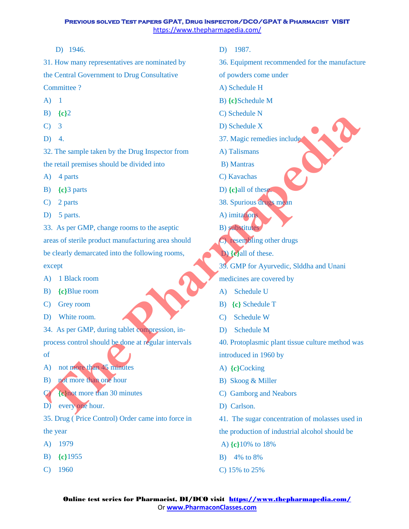D) 1946.

31. How many representatives are nominated by the Central Government to Drug Consultative Committee ?

- $(A)$  1
- B) **{c}**2
- $C)$  3
- D) 4.

32. The sample taken by the Drug Inspector from the retail premises should be divided into

- A) 4 parts
- B) **{c}**3 parts
- C) 2 parts
- D) 5 parts.

33. As per GMP, change rooms to the aseptic areas of sterile product manufacturing area should be clearly demarcated into the following rooms, except **Figure 1991**<br> **The sample taken by the Drug Inspector from**<br> **CD**, 3<br> **CD**, 2<br> **CD**, and the trail premises should be divided into<br> **ED** (eq) a parts<br> **The Pharmapedia** and **Pharma** and **CD** (eq) and the sample taken by

- A) 1 Black room
- B) **{c}**Blue room
- C) Grey room
- D) White room.

34. As per GMP, during tablet compression, inprocess control should be done at regular intervals

- of
- A) not more than 45 minutes
- B) not more than one hour

C) **{c}**not more than 30 minutes

D) every one hour.

35. Drug ( Price Control) Order came into force in the year

- A) 1979
- B) **{c}**1955
- C) 1960
- D) 1987.
- 36. Equipment recommended for the manufacture
- of powders come under
- A) Schedule H
- B) **{c}**Schedule M
- C) Schedule N
- D) Schedule X
- 37. Magic remedies include
- A) Talismans
- B) Mantras
- C) Kavachas
- D) **{c}**all of these.
- 38. Spurious drugs mean
- A) imitations
- B) substitutes
- C) resembling other drugs
- D) **{c}**all of these.
- 39. GMP for Ayurvedic, Slddha and Unani

medicines are covered by

- A) Schedule U
- B) **{c}** Schedule T
- C) Schedule W
- D) Schedule M

40. Protoplasmic plant tissue culture method was introduced in 1960 by

- A) **{c}**Cocking
- B) Skoog & Miller
- C) Gamborg and Neabors
- D) Carlson.
- 41. The sugar concentration of molasses used in
- the production of industrial alcohol should be
- A) **{c}**10% to 18%
- B) 4% to 8%
- C) 15% to 25%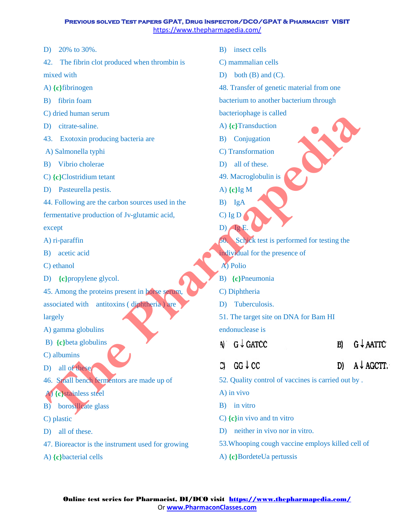- D) 20% to 30%.
- 42. The fibrin clot produced when thrombin is mixed with
- A) **{c}**fibrinogen
- B) fibrin foam
- C) dried human serum
- D) citrate-saline.
- 43. Exotoxin producing bacteria are
- A) Salmonella typhi
- B) Vibrio cholerae
- C) **{c}**Clostridium tetant
- D) Pasteurella pestis.
- 44. Following are the carbon sources used in the
- fermentative production of Jv-glutamic acid,

except

- A) ri-paraffin
- B) acetic acid
- C) ethanol
- D) **{c}**propylene glycol.
- 45. Among the proteins present in horse serum, associated with antitoxins ( diphtheria ) are largely C) entrant and the particular and the contract of the C) between the contract of the C) (e) the C) of the C) and the C) (e) the C) and the C) (e) the C) of the C) and the C) (e) the C) of the C) and the contract of the co
- A) gamma globulins
- B) **{c}**beta globulins
- C) albumins
- D) all of these.
- 46. Small bench fermentors are made up of
- A) **{c}**stainless steel
- B) borosillcate glass
- C) plastic
- D) all of these.
- 47. Bioreactor is the instrument used for growing
- A) **{c}**bacterial cells
- B) insect cells
- C) mammalian cells
- D) both  $(B)$  and  $(C)$ .
- 48. Transfer of genetic material from one
- bacterium to another bacterium through

bacteriophage is called

- A) **{c}**Transduction
- B) Conjugation
- C) Transformation
- D) all of these.
- 49. Macroglobulin is
- A) **{c}**Ig M
- B) IgA
- $C)$  Ig D
- 50. Schick test is performed for testing the
- individual for the presence of
- A) Polio

D)  $\log E$ .

- B) **{c}**Pneumonia
- C) Diphtheria
- D) Tuberculosis.
- 51. The target site on DNA for Bam HI

endonuclease is

- 
- 
- 
- 52. Quality control of vaccines is carried out by .

A) in vivo

- B) in vitro
- C) **{c}**in vivo and tn vitro
- D) neither in vivo nor in vitro.
- 53.Whooping cough vaccine employs killed cell of
- A) **{c}**BordeteUa pertussis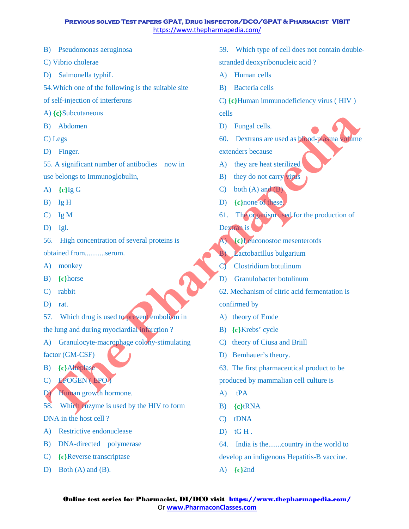- B) Pseudomonas aeruginosa
- C) Vibrio cholerae
- D) Salmonella typhiL
- 54.Which one of the following is the suitable site
- of self-injection of interferons
- A) **{c}**Subcutaneous
- B) Abdomen
- C) Legs
- D) Finger.

55. A significant number of antibodies now in use belongs to Immunoglobulin,

- A) **{c}**Ig G
- B) Ig H
- C) Ig M
- D) Igl.
- 56. High concentration of several proteins is

obtained from...........serum.

- A) monkey
- B) **{c}**horse
- C) rabbit
- D) rat.
- 57. Which drug is used to prevent embolism in

the lung and during myociardial infarction ?

A) Granulocyte-macrophage colony-stimulating

factor (GM-CSF)

- B) **{c}**Alteplase
- C) EPOGEN ( EPO )
- D) Human growth hormone.

58. Which enzyme is used by the HIV to form DNA in the host cell ?

- A) Restrictive endonuclease
- B) DNA-directed polymerase
- C) **{c}**Reverse transcriptase
- D) Both (A) and (B).
- 59. Which type of cell does not contain doublestranded deoxyribonucleic acid ?
- A) Human cells
- B) Bacteria cells
- C) **{c}**Human immunodeficiency virus ( HIV )

cells

D) Fungal cells.

60. Dextrans are used as blood-plasma volume extenders because

- A) they are heat sterilized
- B) they do not carry virus
- C) both  $(A)$  and  $(B)$
- D) **{c}**none of these.
- 61. The organism used for the production of
- Dextran is
- A) **{c}**Leuconostoc mesenterotds
- B) Lactobacillus bulgarium
- C) Clostridium botulinum
- D) Granulobacter botulinum
- 62. Mechanism of citric acid fermentation is confirmed by **The Pharmaps (The Pharmaps Contained Contained Contained Contained Contained Contained Contained Contained Contained Contained Contained Contained Contained Contained Contained Contained Contained Contained Contained Con** 
	- A) theory of Emde
	- B) **{c}**Krebs' cycle
	- C) theory of Ciusa and Briill
	- D) Bemhauer's theory.
	- 63. The first pharmaceutical product to be produced by mammalian cell culture is
	- A) tPA
	- B) **{c}**tRNA
	- C) tDNA
	- $D)$  tGH.
	- 64. India is the.......country in the world to

develop an indigenous Hepatitis-B vaccine.

A) **{c}**2nd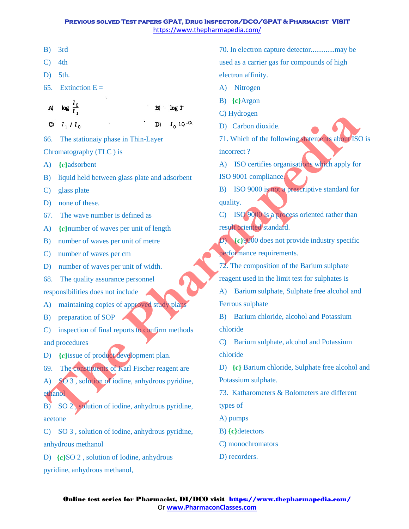| ٠ |
|---|
|   |

C) 4th

D) 5th.

65. Extinction  $E =$ 

 $log \frac{10}{7}$ A)

B)

 $log T$ 

66. The stationaiy phase in Thin-Layer

Chromatography (TLC ) is

- A) **{c}**adsorbent
- B) liquid held between glass plate and adsorbent
- C) glass plate
- D) none of these.
- 67. The wave number is defined as
- A) **{c}**number of waves per unit of length
- B) number of waves per unit of metre
- C) number of waves per cm
- D) number of waves per unit of width.
- 68. The quality assurance personnel

responsibilities does not include

- A) maintaining copies of approved study plans
- B) preparation of SOP

C) inspection of final reports to confirm methods and procedures

- D) **{c}**issue of product development plan.
- 69. The constituents of Karl Fischer reagent are
- A) SO 3, solution of iodine, anhydrous pyridine, ethanol **The Pharmapedia**

B) SO 2 , solution of iodine, anhydrous pyridine, acetone

C) SO 3 , solution of iodine, anhydrous pyridine, anhydrous methanol

D) **{c}**SO 2 , solution of Iodine, anhydrous pyridine, anhydrous methanol,

70. In electron capture detector.............may be used as a carrier gas for compounds of high electron affinity.

- A) Nitrogen
- B) **{c}**Argon
- C) Hydrogen
- D) Carbon dioxide.

71. Which of the following statements about ISO is incorrect ?

A) ISO certifies organisations which apply for

ISO 9001 compliance.

B) ISO 9000 is not a prescriptive standard for quality.

C) ISO 9000 is a process oriented rather than result oriented standard.

D) **{c}**9000 does not provide industry specific performance requirements.

- 72. The composition of the Barium sulphate reagent used in the limit test for sulphates is
- A) Barium sulphate, Sulphate free alcohol and Ferrous sulphate

B) Barium chloride, alcohol and Potassium chloride

C) Barium sulphate, alcohol and Potassium chloride

D) **{c}** Barium chloride, Sulphate free alcohol and Potassium sulphate.

73. Katharometers & Bolometers are different types of

- A) pumps
- B) **{c}**detectors
- C) monochromators
- D) recorders.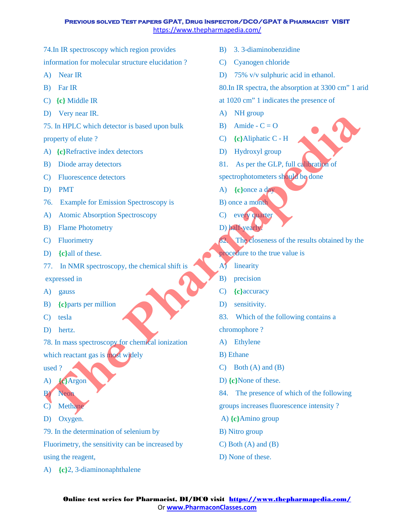74.In IR spectroscopy which region provides

information for molecular structure elucidation ?

- A) Near IR
- B) Far IR
- C) **{c}** Middle IR
- D) Very near IR.
- 75. In HPLC which detector is based upon bulk

### property of elute ?

- A) **{c}**Refractive index detectors
- B) Diode array detectors
- C) Fluorescence detectors
- D) PMT
- 76. Example for Emission Spectroscopy is
- A) Atomic Absorption Spectroscopy
- B) Flame Photometry
- C) Fluorimetry
- D) **{c}**all of these.
- 77. In NMR spectroscopy, the chemical shift is

expressed in

- A) gauss
- B) **{c}**parts per million
- C) tesla
- D) hertz.

78. In mass spectroscopy for chemical ionization

which reactant gas is most widely

used ?

- A) **{c}**Argon
- B) Neon
- C) Methane
- D) Oxygen.

79. In the determination of selenium by

Fluorimetry, the sensitivity can be increased by using the reagent,

A) **{c}**2, 3-diaminonaphthalene

- B) 3. 3-diaminobenzidine
- C) Cyanogen chloride
- D) 75% v/v sulphuric acid in ethanol.

80.In IR spectra, the absorption at 3300 cm" 1 arid

- at 1020 cm" 1 indicates the presence of
- A) NH group
- B) Amide  $C = O$
- C) **{c}**Aliphatic C H
- D) Hydroxyl group
- 81. As per the GLP, full calibration of
- spectrophotometers should be done
- A) **{c}**once a day
- B) once a month
- C) every quarter
- D) half-yearly.
- 82. The closeness of the results obtained by the For the The Theorem (A) Principle of the Collection of the Pharmapedia<br>
(B) Diode and A) (electricative index detectors<br>
(C) Fluencescore detectors<br>
(C) Fluences detectors<br>
(C) Fluences detectors<br>
(C) Fluences detectors<br>
	- procedure to the true value is
	- A) linearity
	- B) precision
	- C) **{c}**accuracy
	- D) sensitivity.
	- 83. Which of the following contains a

chromophore ?

- A) Ethylene
- B) Ethane
- C) Both (A) and (B)
- D) **{c}**None of these.
- 84. The presence of which of the following
- groups increases fluorescence intensity ?
- A) **{c}**Amino group
- B) Nitro group
- C) Both (A) and (B)
- D) None of these.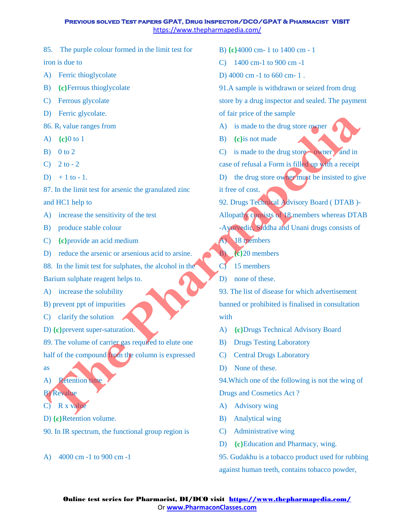- 85. The purple colour formed in the limit test for iron is due to
- A) Ferric thioglycolate
- B) **{c}**Ferrous thioglycolate
- C) Ferrous glycolate
- D) Ferric glycolate.
- 86.  $R_f$  value ranges from
- A) **{c}**0 to 1
- $B)$  0 to 2
- C)  $2$  to  $-2$
- D)  $+1$  to  $-1$ .
- 87. In the limit test for arsenic the granulated zinc
- and HC1 help to
- A) increase the sensitivity of the test
- B) produce stable colour
- C) **{c}**provide an acid medium
- D) reduce the arsenic or arsenious acid to arsine.
- 88. In the limit test for sulphates, the alcohol in the

Barium sulphate reagent helps to.

- A) increase the solubility
- B) prevent ppt of impurities
- C) clarify the solution
- D) **{c}**prevent super-saturation.
- 89. The volume of carrier gas required to elute one
- half of the compound from the column is expressed as
- A) Retention time
- B) Revalue
- C) R x value
- D) **{c}**Retention volume.
- 90. In IR spectrum, the functional group region is
- A) 4000 cm -1 to 900 cm -1
- B) **{c}**4000 cm- 1 to 1400 cm 1
- C) 1400 cm-1 to 900 cm -1
- D) 4000 cm -1 to 660 cm- 1 .
- 91.A sample is withdrawn or seized from drug store by a drug inspector and sealed. The payment of fair price of the sample
- A) is made to the drug store owner
- B) **{c}**is not made
- $(C)$  is made to the drug store owner and in
- case of refusal a Form is filled up with a receipt
- D) the drug store owner must be insisted to give it free of cost.
- 92. Drugs Technical Advisory Board ( DTAB )-
- Allopathy consists of 18 members whereas DTAB
- -Ayurvedic, Siddha and Unani drugs consists of
- A) 18 members
- B) **{c}**20 members
- C) 15 members
- D) none of these.
- 93. The list of disease for which advertisement banned or prohibited is finalised in consultation with For expression and HCI help to the product of the color and the color of the pharmapedial and CD and HCI help to the Ally and the color of the angle of the angle of the angle of the angle of the angle of the angle of the
	- A) **{c}**Drugs Technical Advisory Board
	- B) Drugs Testing Laboratory
	- C) Central Drugs Laboratory
	- D) None of these.
	- 94.Which one of the following is not the wing of

Drugs and Cosmetics Act ?

- A) Advisory wing
- B) Analytical wing
- C) Administrative wing
- D) **{c}**Education and Pharmacy, wing.
- 95. Gudakhu is a tobacco product used for rubbing against human teeth, contains tobacco powder,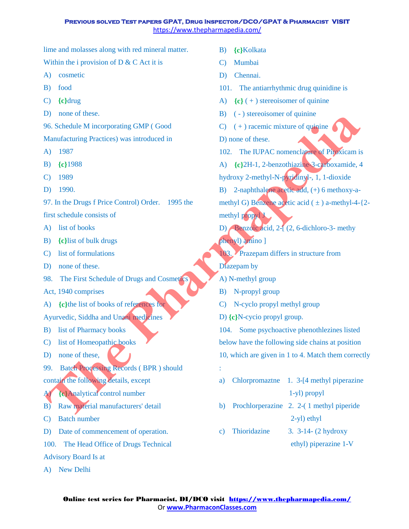lime and molasses along with red mineral matter.

Within the i provision of  $D & C$  Act it is

- A) cosmetic
- B) food
- C) **{c}**drug
- D) none of these.

96. Schedule M incorporating GMP ( Good

Manufacturing Practices) was introduced in

- A) 1987
- B) **{c}**1988
- C) 1989
- D) 1990.

97. In the Drugs f Price Control) Order. 1995 the

first schedule consists of

- A) list of books
- B) **{c}**list of bulk drugs
- C) list of formulations
- D) none of these.
- 98. The First Schedule of Drugs and Cosmetics

Act, 1940 comprises

A) **{c}**the list of books of references for

Ayurvedic, Siddha and Unani medicines

- B) list of Pharmacy books
- C) list of Homeopathic books
- D) none of these,
- 99. Batch Processing Records (BPR) should contain the following details, except
- A) **{c}**Analytical control number
- B) Raw material manufacturers' detail
- C) Batch number
- D) Date of commencement of operation.
- 100. The Head Office of Drugs Technical
- Advisory Board Is at
- A) New Delhi
- B) **{c}**Kolkata
- C) Mumbai
- D) Chennai.
- 101. The antiarrhythmic drug quinidine is
- A) **{c}** ( + ) stereoisomer of quinine
- B) ( ) stereoisomer of quinine
- $C$ )  $(+)$  racemic mixture of quinine
- D) none of these.
- 102. The IUPAC nomenclature of Piroxicam is
- A) **{c}**2H-1, 2-benzothiazine-3-carboxamide, 4
- hydroxy 2-methyl-N-pyridinyl-, 1, 1-dioxide
- B) 2-naphthalene acetic add, (+) 6 methoxy-a-
- methyl G) Benzene acetic acid  $(\pm)$  a-methyl-4- $\{2-\}$ methyl propyl J
- D) Benzoic acid, 2-[ (2, 6-dichloro-3- methy phenyl) amino ]
- 103. Prazepam differs in structure from
- Diazepam by

:

- A) N-methyl group
- B) N-propyl group
- C) N-cyclo propyl methyl group
- D) **{c}**N-cycio propyl group.
- 104. Some psychoactive phenothlezines listed below have the following side chains at position 10, which are given in 1 to 4. Match them correctly **The Pharmapedial Construction**<br> **The Pharmapedial Construction** (Construction) into the set of the Construction (C) (4) its constraints (C) 1989<br> **The Pharmapedial Construction** (C) (4) its construction (C) (4) its cons
	- a) Chlorpromaztne 1. 3-[4 methyl piperazine 1-yl) propyl
	- b) Prochlorperazine 2. 2-( 1 methyl piperide 2-yl) ethyl
	- c) Thioridazine 3. 3-14- (2 hydroxy ethyl) piperazine 1-V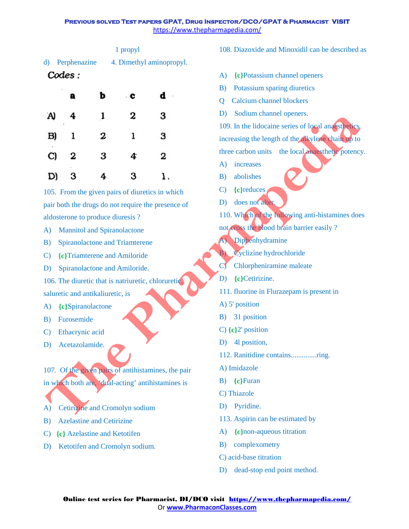|                 | 1 propyl                 |
|-----------------|--------------------------|
| d) Perphenazine | 4. Dimethyl aminopropyl. |
| Codes:          |                          |

|                                                     | a | ь                                  | с                              | d                                               |                                                      |  |
|-----------------------------------------------------|---|------------------------------------|--------------------------------|-------------------------------------------------|------------------------------------------------------|--|
|                                                     |   |                                    |                                |                                                 | <b>Calcium</b> channel blockers<br>Ő                 |  |
| A)                                                  | 4 | 1                                  | 2                              | 3                                               | Sodium channel openers.<br>D)                        |  |
|                                                     |   |                                    |                                |                                                 | 109. In the lidocaine series of local analysthetics. |  |
| B)                                                  | ı | 2                                  | ı                              | з                                               | increasing the length of the alkylene chain up to    |  |
| C)                                                  | 2 | 3                                  | 4                              | 2                                               | three carbon units the local anaesthetic potency     |  |
|                                                     |   |                                    |                                |                                                 | increases<br>$\bf{A}$                                |  |
| D)                                                  | 3 |                                    | 3                              | ı.                                              | abolishes<br>B)                                      |  |
|                                                     |   |                                    |                                | 105. From the given pairs of diuretics in which | {c}reduces<br>$\mathbf{C}$                           |  |
| pair both the drugs do not require the presence of  |   |                                    |                                |                                                 | does not alter.<br>D)                                |  |
| aldosterone to produce diuresis?                    |   |                                    |                                |                                                 | 110. Which of the following anti-histamines doe      |  |
| A)                                                  |   | <b>Mannitol and Spiranolactone</b> |                                |                                                 | not cross the blood brain barrier easily ?           |  |
| B)                                                  |   |                                    | Spiranolactone and Triamterene |                                                 | A) Diphenhydramine                                   |  |
| C)                                                  |   |                                    | {c}Triamterene and Amiloride   |                                                 | Cyclizine hydrochloride<br>B)                        |  |
| D)                                                  |   |                                    | Spiranolactone and Amiloride.  |                                                 | Chlorpheniramine maleate<br>$\mathbf{C}$             |  |
| 106. The diuretic that is natriuretic, chloruretic, |   |                                    |                                |                                                 | {c}Cetirizine.<br>D)                                 |  |
| saluretic and antikaliuretic, is                    |   |                                    |                                |                                                 | 111. fluorine in Flurazepam is present in            |  |
| A)<br>{c}Spiranolactone                             |   |                                    |                                |                                                 | A) 5' position                                       |  |
| B)<br>Furosemide                                    |   |                                    |                                |                                                 | 31 position<br>B)                                    |  |
| Ethacrynic acid<br>C)                               |   |                                    |                                |                                                 | C) $\{c\}2$ position                                 |  |
| D)<br>Acetazolamide.                                |   |                                    | 41 position,<br>D)             |                                                 |                                                      |  |
|                                                     |   |                                    |                                |                                                 | 112. Ranitidine containsring.                        |  |
| 107. Of the given pairs of antihistamines, the pair |   |                                    |                                |                                                 | A) Imidazole                                         |  |
| in which both are, 'dual-acting' antihistamines is  |   |                                    | {c}Furan<br>$\mathbf{B}$ )     |                                                 |                                                      |  |
|                                                     |   |                                    |                                |                                                 | C) Thiazole                                          |  |
| A)                                                  |   |                                    | Cetirizine and Cromolyn sodium |                                                 | Pyridine.<br>D)                                      |  |
| $\mathbf{R}$                                        |   | Azalacting and Catirizing          |                                |                                                 | 113. Aspirin can be estimated by                     |  |

- A) Mannitol and Spiranolactone
- B) Spiranolactone and Triamterene
- C) **{c}**Triamterene and Amiloride
- D) Spiranolactone and Amiloride.
- 106. The diuretic that is natriuretic, chloruretic, saluretic and antikaliuretic, is
- A) **{c}**Spiranolactone
- B) Furosemide
- C) Ethacrynic acid
- D) Acetazolamide.

J

- A) Cetirizine and Cromolyn sodium
- B) Azelastine and Cetirizine
- C) **{c}** Azelastine and Ketotifen
- D) Ketotifen and Cromolyn sodium.

108. Diazoxide and Minoxidil can be described as

- A) **{c}**Potassium channel openers
- B) Potassium sparing diuretics
- Q Calcium channel blockers
- D) Sodium channel openers.

- A) increases
- B) abolishes
- C) **{c}**reduces
- D) does not alter.
- 110. Which of the following anti-histamines does
- not cross the blood brain barrier easily ?
- A) Diphenhydramine
- B) Cyclizine hydrochloride
- C) Chlorpheniramine maleate
- D) **{c}**Cetirizine.
- 111. fluorine in Flurazepam is present in
- A) 5' position
- B) 31 position
- C) **{c}**2' position
- D) 4l position,
- 112. Ranitidine contains..............ring.
- A) Imidazole
- B) **{c}**Furan
- C) Thiazole
- D) Pyridine.
- 113. Aspirin can be estimated by
- A) **{c}**non-aqueous titration
- B) complexometry
- C) acid-base titration
- D) dead-stop end point method.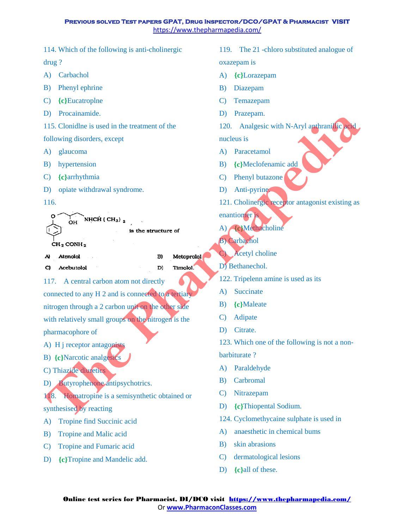114. Which of the following is anti-cholinergic

drug ?

A) Carbachol

B) Phenyl ephrine

C) **{c}**Eucatroplne

D) Procainamide.

115. Clonidlne is used in the treatment of the

following disorders, except

A) glaucoma

B) hypertension

C) **{c}**arrhythmia

D) opiate withdrawal syndrome.

116.

117. A central carbon atom not directly connected to any H 2 and is connected to a tertiary nitrogen through a 2 carbon unit on the other side with relatively small groups on the nitrogen is the pharmacophore of **The Contration of the Control of the Contract Control of the Control of the Control of the Control of the Control of the Control of the Control of the Control of the Control of the Control of the Control of the Control of** 

A) H j receptor antagonists

B) **{c}**Narcotic analgesics

C) Thiazide diuretics

D) Butyrophenone antipsychotrics.

118. Homatropine is a semisynthetic obtained or

synthesised by reacting

A) Tropine find Succinic acid

B) Tropine and Malic acid

C) Tropine and Fumaric acid

D) **{c}**Tropine and Mandelic add.

119. The 21 -chloro substituted analogue of oxazepam is

A) **{c}**Lorazepam

B) Diazepam

C) Temazepam

D) Prazepam.

120. Analgesic with N-Aryl anthranillic acid

nucleus is

A) Paracetamol

B) **{c}**Meclofenamic add

C) Phenyl butazone

D) Anti-pyrine.

121. Cholinergic receptor antagonist existing as

enantiomer is

A) **{c}**Methacholine

B) Carbachol

**Acetyl** choline

D<sup>1</sup> Bethanechol.

122. Tripelenn amine is used as its

A) Succinate

B) **{c}**Maleate

C) Adipate

D) Citrate.

123. Which one of the following is not a non-

barbiturate ?

A) Paraldehyde

B) Carbromal

C) Nitrazepam

D) **{c}**Thiopental Sodium.

124. Cyclomethycaine sulphate is used in

A) anaesthetic in chemical bums

B) skin abrasions

C) dermatological lesions

D) **{c}**all of these.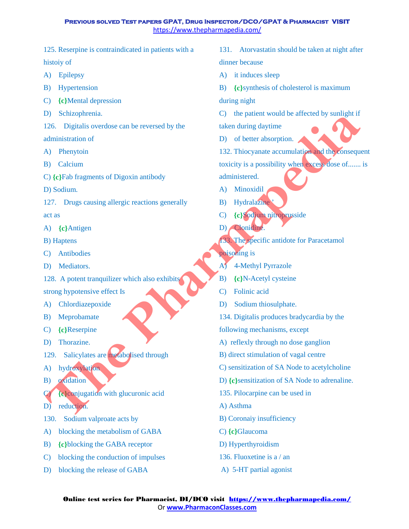125. Reserpine is contraindicated in patients with a histoiy of

A) Epilepsy

B) Hypertension

C) **{c}**Mental depression

D) Schizophrenia.

126. Digitalis overdose can be reversed by the administration of

A) Phenytoin

B) Calcium

C) **{c}**Fab fragments of Digoxin antibody

D) Sodium.

127. Drugs causing allergic reactions generally act as

A) **{c}**Antigen

B) Haptens

- C) Antibodies
- D) Mediators.
- 128. A potent tranquilizer which also exhibits

strong hypotensive effect Is

- A) Chlordiazepoxide
- B) Meprobamate
- C) **{c}**Reserpine
- D) Thorazine.
- 129. Salicylates are metabolised through
- A) hydroxylation
- B) oxidation
- C) **{c}**conjugation with glucuronic acid

D) reduction.

- 130. Sodium valproate acts by
- A) blocking the metabolism of GABA
- B) **{c}**blocking the GABA receptor
- C) blocking the conduction of impulses
- D) blocking the release of GABA
- 131. Atorvastatin should be taken at night after dinner because
- A) it induces sleep
- B) **{c}**synthesis of cholesterol is maximum

during night

C) the patient would be affected by sunlight if

taken during daytime

- D) of better absorption.
- 132. Thiocyanate accumulation and the consequent toxicity is a possibility when excess dose of....... is administered. **Examplemental**<br>
The Pharmapedia Content of the state during tayline<br>
2126. Digitalis overloos can be reversed by the<br>
administration of<br>
A) Phenytoin<br>
A) Phenytoin<br>
217. Drugs causing allergic reactions generally<br>
D) Soc
	- A) Minoxidil
	- B) Hydralazine
	- C) **{c}**Sodium nitroprusside
	- D) Clonidine.
	- 133. The specific antidote for Paracetamol

poisoning is

- A) 4-Methyl Pyrrazole
- B) **{c}**N-Acetyl cysteine
- C) Folinic acid
- D) Sodium thiosulphate.
- 134. Digitalis produces bradycardia by the
- following mechanisms, except
- A) reflexly through no dose ganglion
- B) direct stimulation of vagal centre
- C) sensitization of SA Node to acetylcholine
- D) **{c}**sensitization of SA Node to adrenaline.
- 135. Pilocarpine can be used in
- A) Asthma
- B) Coronaiy insufficiency
- C) **{c}**Glaucoma
- D) Hyperthyroidism
- 136. Fluoxetine is a / an
- A) 5-HT partial agonist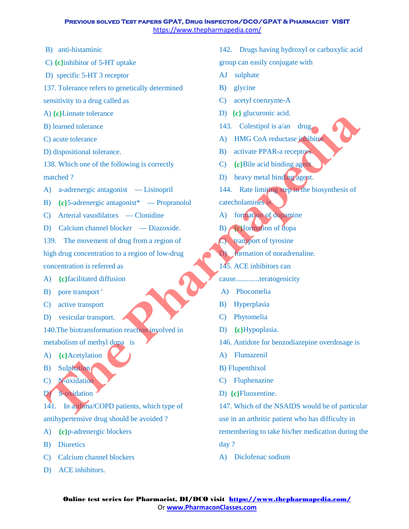- B) anti-histaminic
- C) **{c}**inhibitor of 5-HT uptake
- D) specific 5-HT 3 receptor
- 137. Tolerance refers to genetically determined sensitivity to a drug called as
- A) **{c}**Linnate tolerance
- B) learned tolerance
- C) acute tolerance
- D) dispositional tolerance.

138. Which one of the following is correctly matched ?

- A) a-adrenergic antagonist Lisinopril
- B) **{c}**5-adrenergic antagonist\* Propranolol
- C) Arterial vasodilators Clonidine
- D) Calcium channel blocker Diazoxide.
- 139. The movement of drug from a region of

high drug concentration to a region of low-drug concentration is referred as **The Control of the Control of the Control of the Control of the Columb Control of the Columb Control of the Columb Control of the Columb Control of the Columb Control of the Columb Control of the Columb Control of the Col** 

- A) **{c}**facilitated diffusion
- B) pore transport '
- C) active transport
- D) vesicular transport.

140.The biotransformation reaction involved in

- metabolism of methyl dopa is
- A) **{c}**Acetylation
- B) Sulphation
- C) N-oxidation
- D) S-oxidation

141. In asthma/COPD patients, which type of antihypertensive drug should be avoided ?

- A) **{c}**p-adrenergic blockers
- B) Diuretics
- C) Calcium channel blockers
- D) ACE inhibitors.
- 142. Drugs having hydroxyl or carboxylic acid group can easily conjugate with
- AJ sulphate
- B) glycine
- C) acetyl coenzyme-A
- D) **{c}** glucuronic acid.
- 143. Colestipol is a/an drug.
- A) HMG CoA reductase inhibitor
- B) activate PPAR-a receptors
- C) **{c}**Bile acid binding agent
- D) heavy metal binding agent.
- 144. Rate limiting step in the biosynthesis of catecholamines is
- A) formation of dopamine
- B) **{c}**formation of dopa
- C) transport of tyrosine
- D) formation of noradrenaline.
- 145. ACE inhibitors can
- cause.............teratogenicity
- A) Phocomelia
- B) Hyperplasia
- C) Phytomelia
- D) **{c}**Hypoplasia.
- 146. Antidote for benzodiazepine overdosage is
- A) Flumazenil
- B) Flupenthixol
- C) Fluphenazine
- D) **{c}**Fluoxentine.

147. Which of the NSAIDS would be of particular use in an arthritic patient who has difficulty in remembering to take his/her medication during the

- day ?
- A) Diclofenac sodium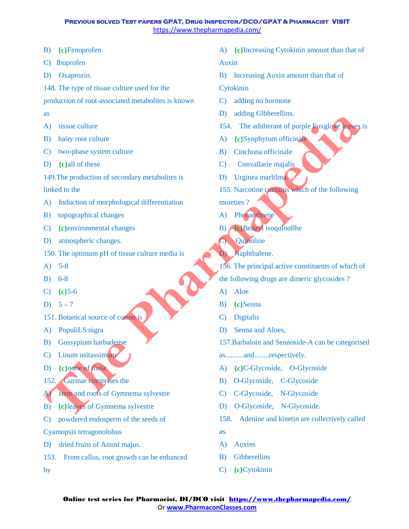- B) **{c}**Fenoprofen
- C) Ibuprofen
- D) Oxaprozin.
- 148. The type of tissue culture used for the

production of root-associated metabolites is known

- as
- A) tissue culture
- B) hairy root culture
- C) two-phase system culture
- D) **{c}**all of these.
- 149.The production of secondary metabolites is
- linked to the
- A) Induction of morphological differentiation
- B) topographical changes
- C) **{c}**environmental changes
- D) atmospheric changes.
- 150. The optimum pH of tissue culture media is
- A) 5-8
- B) 6-8
- C) **{c}**5-6
- D)  $5 7$
- 151. Botanical source of cotton is
- A) PopuliLS nigra
- B) Gossypium harbadense
- C) Linum usitassimum
- D) **{c}**none of these.
- 152. Gurmar comprises the
- A) stem and roots of Gymnema sylvestre
- B) **{c}**leaves of Gymnema sylvestre
- C) powdered endosperm of the seeds of
- Cyamopsis tetragonolobus

by

- D) dried fruits of Amml majus.
- 153. From callus, root growth can be enhanced
- A) **{c}**Increasing Cytokinin amount than that of Auxin
- B) Increasing Auxin amount than that of
- Cytokinin
- C) adding no hormone
- D) adding Glbberellins.
- 154. The adulterant of purple Foxglove leaves is
- A) **{c}**Synphytum officinale
- B) Cinchona officinale
- C) . Convallarie majalis
- D) Urginea marltlma.
- 155. Narcotine contains which of the following
- moieties ?
- A) Phenanthrene
- B) **{c}**Benzyl isoqulnollhe
- C) Quinoline
- D) Naphthalene.
- 156. The principal active constituents of which of ISO. The content of the teachers of company interest of Company interest of Company interest of Company interest of Company interest of Company interest of Company interest of Company interest of Company interest of Compa
	- the following drugs are dimeric glycosides ?
	- A) Aloe
	- B) **{c}**Senna
	- C) Digitalis
	- D) Senna and Aloes,
	- 157.Barbaloin and Sennoside-A can be categorised
	- as..........and........respectively.
	- A) **{c}**C-Glycoside, O-Glycoside
	- B) O-Glycoside, C-Glycoside
	- C) C-Glycoside, N-Glycoside
	- D) O-Glycoside, N-Glycoside.
	- 158. Adenine and kinetin are collectively called as.
	- A) Auxins
	- B) Gibberellins
	- C) **{c}**Cytokinin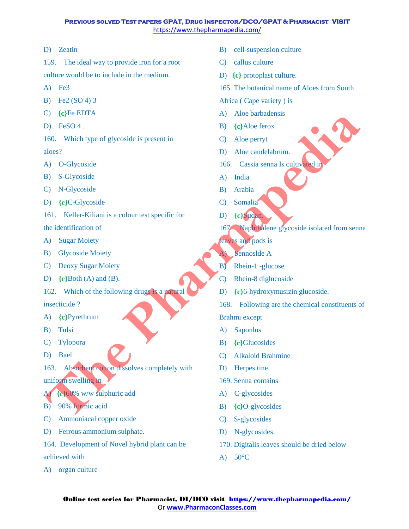# D) Zeatin

159. The ideal way to provide iron for a root culture would be to include in the medium.

- A) Fe3
- B) Fe2 (SO 4) 3
- C) **{c}**Fe EDTA
- D) FeSO 4.

160. Which type of glycoside is present in aloes?

- A) O-Glycoside
- B) S-Glycoside
- C) N-Glycoside
- D) **{c}**C-Glycoside
- 161. Keller-Kiliani is a colour test specific for

the identification of

- A) Sugar Moiety
- B) Glycoside Moiety
- C) Deoxy Sugar Moiety
- D) **{c}**Both (A) and (B).
- 162. Which of the following drugs is a natural

insecticide ?

- A) **{c}**Pyrethrum
- B) Tulsi
- C) Tylopora
- D) Bael
- 163. Absorbent cotton dissolves completely with uniform swelling in (3) (eperator)<br> **The Pharmapedia**<br>
(3) DeSA (4) Alternation and B) (eNote force<br>
(5) DeSA (2) O-Glycoside is present in<br>
(5) Alternative of glycoside is present in<br>
(5) Alternative of glycoside is present in<br>
(5) Alternat
- A) **{c}**60% w/w sulphuric add
- B) 90% formic acid
- C) Ammoniacal copper oxide
- D) Ferrous ammonium sulphate.
- 164. Development of Novel hybrid plant can be achieved with
- A) organ culture
- B) cell-suspension culture
- C) callus culture
- D) **{c}** protoplast culture.
- 165. The botanical name of Aloes from South

Africa ( Cape variety ) is

- A) Aloe barbadensis
- B) **{c}**Aloe ferox
- C) Aloe perryt
- D) Aloe candelabrum.
- 166. Cassia senna Is cultivated in
- A) India
- B) Arabia
- C) Somalia
- D) **{c}**Sudan.
- 167. Naphthalene glycoside isolated from senna
- leaves and pods is
- A) Sennoslde A
- B) Rhein-1 -glucose
- C) Rhein-8 diglucoside
- D) **{c}**6-hydroxymusizin glucoside.
- 168. Following are the chemical constituents of

Brahmi except

- A) Saponlns
- B) **{c}**Glucosldes
- C) Alkaloid Brahmine
- D) Herpes tine.
- 169. Senna contains
- A) C-glycosides
- B) **{c}**O-glycosldes
- C) S-glycosides
- D) N-glycosides.
- 170. Digitalis leaves should be dried below
- A)  $50^{\circ}$ C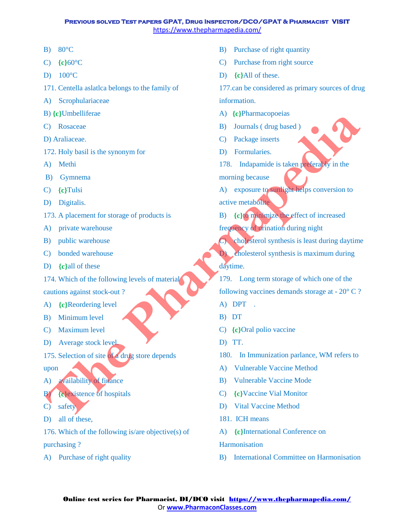- B) 80°C
- C) **{c}**60°C
- D) 100°C
- 171. Centella aslatlca belongs to the family of
- A) Scrophulariaceae
- B) **{c}**Umbelliferae
- C) Rosaceae
- D) Araliaceae.
- 172. Holy basil is the synonym for
- A) Methi
- B) Gymnema
- C) **{c}**Tulsi
- D) Digitalis.
- 173. A placement for storage of products is
- A) private warehouse
- B) public warehouse
- C) bonded warehouse
- D) **{c}**all of these
- 174. Which of the following levels of material

cautions against stock-out ?

- A) **{c}**Reordering level
- B) Minimum level
- C) Maximum level
- D) Average stock level.
- 175. Selection of site of a drug store depends

upon

- A) availability of finance
- B) **{c}**existence of hospitals
- C) safety
- D) all of these,

176. Which of the following is/are objective(s) of purchasing ?

A) Purchase of right quality

- B) Purchase of right quantity
- C) Purchase from right source
- D) **{c}**All of these.

177.can be considered as primary sources of drug information.

- A) **{c}**Pharmacopoeias
- B) Journals ( drug based )
- C) Package inserts
- D) Formularies.
- 178. Indapamide is taken preferably in the
- morning because
- A) exposure to sunlight helps conversion to active metabolite
- B) **{c}**to minimize the effect of increased frequency of urination during night

C) cholesterol synthesis is least during daytime D) cholesterol synthesis is maximum during

daytime.

- 179. Long term storage of which one of the following vaccines demands storage at - 20° C ? A) DPT . **Example 10**<br> **The Pharma** CO Researce<br>
C) Researce<br>
C) Researce<br>
C) Andihizear, and the synonym for<br>
A) Media<br>
A) Somman morning because is staten processed<br>
The Cyrrus is the synonym for<br>
The Pharma morning because is s
	- B) DT
	- C) **{c}**Oral polio vaccine
	- D) TT.
	- 180. In Immunization parlance, WM refers to
	- A) Vulnerable Vaccine Method
	- B) Vulnerable Vaccine Mode
	- C) **{c}**Vaccine Vial Monitor
	- D) Vital Vaccine Method
	- 181. ICH means
	- A) **{c}**International Conference on

### **Harmonisation**

B) International Committee on Harmonisation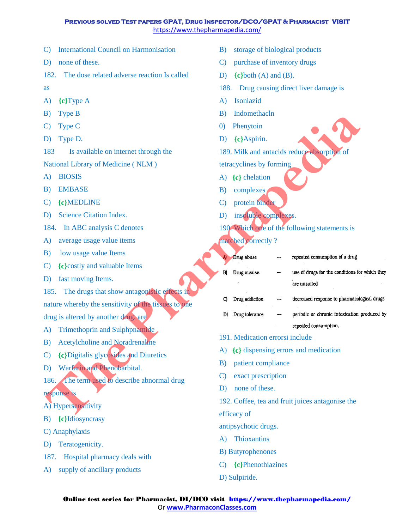- C) International Council on Harmonisation
- D) none of these.
- 182. The dose related adverse reaction Is called

as

- A) **{c}**Type A
- B) Type B
- C) Type C
- D) Type D.
- 183 Is available on internet through the

- A) BIOSIS
- B) EMBASE
- C) **{c}**MEDLINE
- D) Science Citation Index.
- 184. In ABC analysis C denotes
- A) average usage value items
- B) low usage value Items
- C) **{c}**costly and valuable Items
- D) fast moving Items.
- 185. The drugs that show antagonistic effects in nature whereby the sensitivity of the tissues to one drug is altered by another drug, are
- A) Trimethoprin and Sulphpnamide
- B) Acetylcholine and Noradrenaline
- C) **{c}**Digitalis glycosides and Diuretics
- D) Warfarin and Phenobarbital.
- 186. The term used to describe abnormal drug response is
- A) Hypersensitivity
- B) **{c}**Idiosyncrasy
- C) Anaphylaxis
- D) Teratogenicity.
- 187. Hospital pharmacy deals with
- A) supply of ancillary products
- B) storage of biological products
- C) purchase of inventory drugs
- D) **{c}**both (A) and (B).
- 188. Drug causing direct liver damage is
- A) Isoniazid
- B) Indomethacln
- 0) Phenytoin
- D) **{c}**Aspirin.
- 189. Milk and antacids reduce absorption of
- tetracyclines by forming
- A) **{c}** chelation
- B) complexes
- C) protein binder
- D) insoluble complexes.
- 190. Which one of the following statements is

#### matched correctly ?

| D)<br>1 ype B                                        | D)<br>muomethacin                                                    |
|------------------------------------------------------|----------------------------------------------------------------------|
| Type C<br>C)                                         | Phenytoin<br>$\left( 0\right)$                                       |
| D)<br>Type D.                                        | {c}Aspirin.<br>D)                                                    |
| 183<br>Is available on internet through the          | 189. Milk and antacids reduce absorption of                          |
| National Library of Medicine (NLM)                   | tetracyclines by forming                                             |
| <b>BIOSIS</b><br>A)                                  | $\{c\}$ chelation<br>A)                                              |
| B)<br><b>EMBASE</b>                                  | complexes<br>B)                                                      |
| {c}MEDLINE<br>C)                                     | protein binder<br>$\mathbf{C}$                                       |
| <b>Science Citation Index.</b><br>D)                 | insoluble complexes.<br>D)                                           |
| In ABC analysis C denotes<br>184.                    | 190. Which one of the following statements is                        |
| average usage value items<br>A)                      | matched correctly?                                                   |
| B)<br>low usage value Items                          | repeated consumption of a drug<br>Drug abuse                         |
| $\overline{C}$<br>{c}costly and valuable Items       | use of drugs for the conditions for which they<br>Drug misuse<br>B)  |
| D)<br>fast moving Items.                             | are unsuited                                                         |
| The drugs that show antagonistic effects in<br>185.  | decreased response to pharmacological drugs<br>Drug addiction<br>C)  |
| nature whereby the sensitivity of the tissues to one |                                                                      |
| drug is altered by another drug, are                 | periodic or chronic intoxication produced by<br>Drug tolerance<br>Dì |
| Trimethoprin and Sulphpnamide<br>A)                  | repeated consumption.<br>191. Medication errorsi include             |
| <b>Acetylcholine and Noradrenaline</b><br>B)         |                                                                      |
| {c}Digitalis glycosides and Diuretics<br>C)          | {c} dispensing errors and medication<br>A)                           |
| Warfarin and Phenobarbital.<br>D)                    | patient compliance<br>B)                                             |
| The term used to describe abnormal drug<br>186.      | exact prescription<br>$\mathbf{C}$                                   |
| response is                                          | none of these.<br>D)                                                 |
| A) Hypersensitivity                                  | 192. Coffee, tea and fruit juices antagonise the                     |
| B) {c}Idiosyncrasy                                   | efficacy of                                                          |

- 191. Medication errorsi include
- A) **{c}** dispensing errors and medication
- B) patient compliance
- C) exact prescription
- D) none of these.
- 192. Coffee, tea and fruit juices antagonise the

- antipsychotic drugs.
- A) Thioxantins
- B) Butyrophenones
- C) **{c}**Phenothiazines
- D) Sulpiride.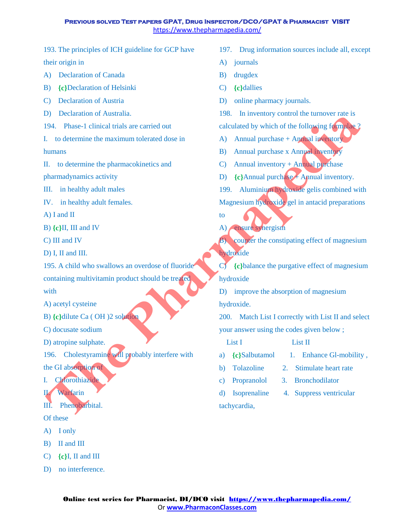193. The principles of ICH guideline for GCP have their origin in

- A) Declaration of Canada
- B) **{c}**Declaration of Helsinki
- C) Declaration of Austria
- D) Declaration of Australia.
- 194. Phase-1 clinical trials are carried out
- I. to determine the maximum tolerated dose in humans
- II. to determine the pharmacokinetics and

pharmadynamics activity

III. in healthy adult males

IV. in healthy adult females.

A) I and II

B) **{c}**II, III and IV

C) III and IV

- D) I, II and III.
- 195. A child who swallows an overdose of fluoride containing multivitamin product should be treated with

A) acetyl cysteine

B) **{c}**dilute Ca ( OH )2 solution

C) docusate sodium

D) atropine sulphate.

196. Cholestyramine will probably interfere with the GI absorption of D) atropine sulphate.<br>
196. Cholestyramine will probably<br>
the GI absorption of<br>
I. Chorothiazide<br>
Warfarin<br>
III. Phenobarbital.<br>
Of these

- I. Chlorothiazide
- II. Warfarin
- III. Phenobarbital.

#### Of these

- A) I only
- B) II and III
- C) **{c}**I, II and III
- D) no interference.
- 197. Drug information sources include all, except
- A) journals
- B) drugdex
- C) **{c}**dallies
- D) online pharmacy journals.
- 198. In inventory control the turnover rate is
- calculated by which of the following formulae ?
- A) Annual purchase + Annual inventory
- B) Annual purchase x Annual inventory
- C) Annual inventory  $+$  Annual purchase
- D) **{c}Annual purchase + Annual inventory.**
- 199. Aluminium hydroxide gelis combined with Magnesium hydroxide gel in antacid preparations **Pharmaps are carried out** the same of the content of the content of the content of the content of the content of the content of the content of the content of the content of the content of the content of the content of the
	- A) ensure synergism

to

B) counter the constipating effect of magnesium hydroxide

C) **{c}**balance the purgative effect of magnesium hydroxide

D) improve the absorption of magnesium hydroxide.

200. Match List I correctly with List II and select your answer using the codes given below ;

List I List II

- a) **{c}Salbutamol** 1. Enhance Gl-mobility,
- b) Tolazoline 2. Stimulate heart rate
- c) Propranolol 3. Bronchodilator
- d) Isoprenaline 4. Suppress ventricular tachycardia,